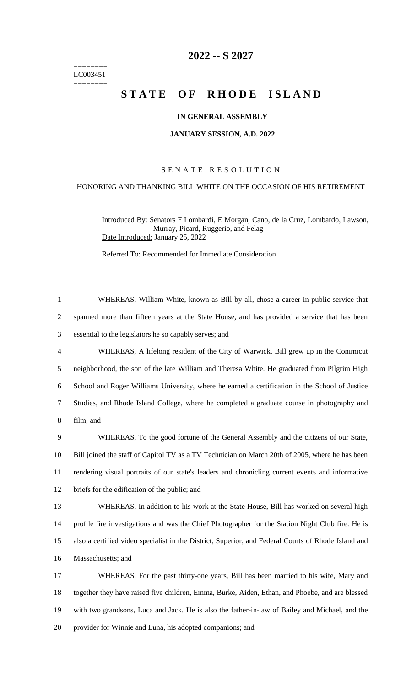======== LC003451 ========

# **-- S 2027**

# **STATE OF RHODE ISLAND**

# **IN GENERAL ASSEMBLY**

#### **JANUARY SESSION, A.D. 2022 \_\_\_\_\_\_\_\_\_\_\_\_**

# S E N A T E R E S O L U T I O N

### HONORING AND THANKING BILL WHITE ON THE OCCASION OF HIS RETIREMENT

Introduced By: Senators F Lombardi, E Morgan, Cano, de la Cruz, Lombardo, Lawson, Murray, Picard, Ruggerio, and Felag Date Introduced: January 25, 2022

Referred To: Recommended for Immediate Consideration

 WHEREAS, William White, known as Bill by all, chose a career in public service that spanned more than fifteen years at the State House, and has provided a service that has been essential to the legislators he so capably serves; and WHEREAS, A lifelong resident of the City of Warwick, Bill grew up in the Conimicut neighborhood, the son of the late William and Theresa White. He graduated from Pilgrim High School and Roger Williams University, where he earned a certification in the School of Justice Studies, and Rhode Island College, where he completed a graduate course in photography and film; and WHEREAS, To the good fortune of the General Assembly and the citizens of our State, Bill joined the staff of Capitol TV as a TV Technician on March 20th of 2005, where he has been rendering visual portraits of our state's leaders and chronicling current events and informative briefs for the edification of the public; and WHEREAS, In addition to his work at the State House, Bill has worked on several high profile fire investigations and was the Chief Photographer for the Station Night Club fire. He is also a certified video specialist in the District, Superior, and Federal Courts of Rhode Island and Massachusetts; and WHEREAS, For the past thirty-one years, Bill has been married to his wife, Mary and together they have raised five children, Emma, Burke, Aiden, Ethan, and Phoebe, and are blessed with two grandsons, Luca and Jack. He is also the father-in-law of Bailey and Michael, and the provider for Winnie and Luna, his adopted companions; and